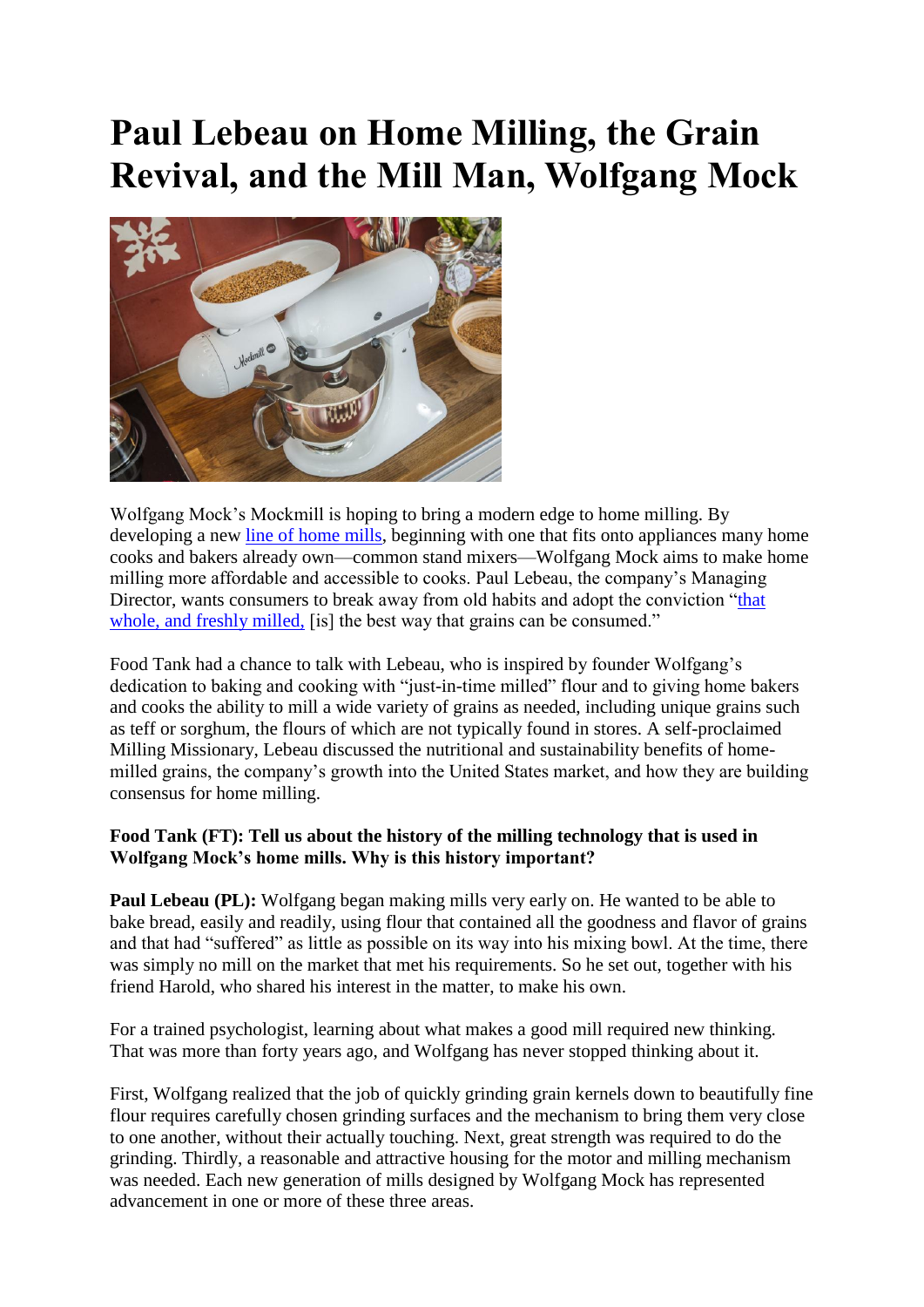# **Paul Lebeau on Home Milling, the Grain Revival, and the Mill Man, Wolfgang Mock**



Wolfgang Mock's Mockmill is hoping to bring a modern edge to home milling. By developing a new [line of home mills,](http://www.wolfgangmock.com/en/products.html) beginning with one that fits onto appliances many home cooks and bakers already own—common stand mixers—Wolfgang Mock aims to make home milling more affordable and accessible to cooks. Paul Lebeau, the company's Managing Director, wants consumers to break away from old habits and adopt the conviction ["that](http://www.wolfgangmock.com/en/a-new-mission.html)  whole, and freshly milled. [is] the best way that grains can be consumed."

Food Tank had a chance to talk with Lebeau, who is inspired by founder Wolfgang's dedication to baking and cooking with "just-in-time milled" flour and to giving home bakers and cooks the ability to mill a wide variety of grains as needed, including unique grains such as teff or sorghum, the flours of which are not typically found in stores. A self-proclaimed Milling Missionary, Lebeau discussed the nutritional and sustainability benefits of homemilled grains, the company's growth into the United States market, and how they are building consensus for home milling.

#### **Food Tank (FT): Tell us about the history of the milling technology that is used in Wolfgang Mock's home mills. Why is this history important?**

**Paul Lebeau (PL):** Wolfgang began making mills very early on. He wanted to be able to bake bread, easily and readily, using flour that contained all the goodness and flavor of grains and that had "suffered" as little as possible on its way into his mixing bowl. At the time, there was simply no mill on the market that met his requirements. So he set out, together with his friend Harold, who shared his interest in the matter, to make his own.

For a trained psychologist, learning about what makes a good mill required new thinking. That was more than forty years ago, and Wolfgang has never stopped thinking about it.

First, Wolfgang realized that the job of quickly grinding grain kernels down to beautifully fine flour requires carefully chosen grinding surfaces and the mechanism to bring them very close to one another, without their actually touching. Next, great strength was required to do the grinding. Thirdly, a reasonable and attractive housing for the motor and milling mechanism was needed. Each new generation of mills designed by Wolfgang Mock has represented advancement in one or more of these three areas.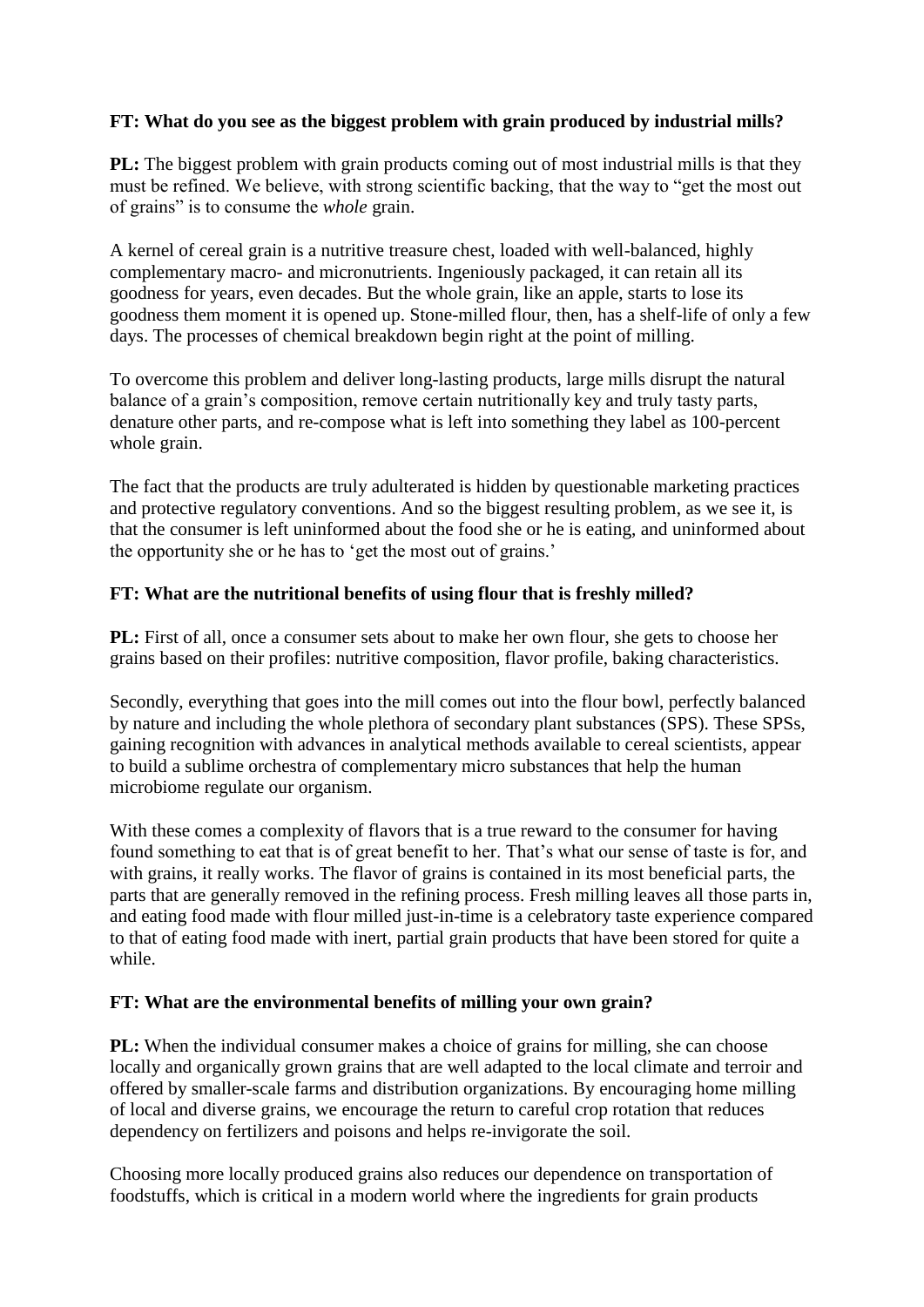## **FT: What do you see as the biggest problem with grain produced by industrial mills?**

**PL:** The biggest problem with grain products coming out of most industrial mills is that they must be refined. We believe, with strong scientific backing, that the way to "get the most out of grains" is to consume the *whole* grain.

A kernel of cereal grain is a nutritive treasure chest, loaded with well-balanced, highly complementary macro- and micronutrients. Ingeniously packaged, it can retain all its goodness for years, even decades. But the whole grain, like an apple, starts to lose its goodness them moment it is opened up. Stone-milled flour, then, has a shelf-life of only a few days. The processes of chemical breakdown begin right at the point of milling.

To overcome this problem and deliver long-lasting products, large mills disrupt the natural balance of a grain's composition, remove certain nutritionally key and truly tasty parts, denature other parts, and re-compose what is left into something they label as 100-percent whole grain.

The fact that the products are truly adulterated is hidden by questionable marketing practices and protective regulatory conventions. And so the biggest resulting problem, as we see it, is that the consumer is left uninformed about the food she or he is eating, and uninformed about the opportunity she or he has to 'get the most out of grains.'

## **FT: What are the nutritional benefits of using flour that is freshly milled?**

**PL:** First of all, once a consumer sets about to make her own flour, she gets to choose her grains based on their profiles: nutritive composition, flavor profile, baking characteristics.

Secondly, everything that goes into the mill comes out into the flour bowl, perfectly balanced by nature and including the whole plethora of secondary plant substances (SPS). These SPSs, gaining recognition with advances in analytical methods available to cereal scientists, appear to build a sublime orchestra of complementary micro substances that help the human microbiome regulate our organism.

With these comes a complexity of flavors that is a true reward to the consumer for having found something to eat that is of great benefit to her. That's what our sense of taste is for, and with grains, it really works. The flavor of grains is contained in its most beneficial parts, the parts that are generally removed in the refining process. Fresh milling leaves all those parts in, and eating food made with flour milled just-in-time is a celebratory taste experience compared to that of eating food made with inert, partial grain products that have been stored for quite a while.

## **FT: What are the environmental benefits of milling your own grain?**

**PL:** When the individual consumer makes a choice of grains for milling, she can choose locally and organically grown grains that are well adapted to the local climate and terroir and offered by smaller-scale farms and distribution organizations. By encouraging home milling of local and diverse grains, we encourage the return to careful crop rotation that reduces dependency on fertilizers and poisons and helps re-invigorate the soil.

Choosing more locally produced grains also reduces our dependence on transportation of foodstuffs, which is critical in a modern world where the ingredients for grain products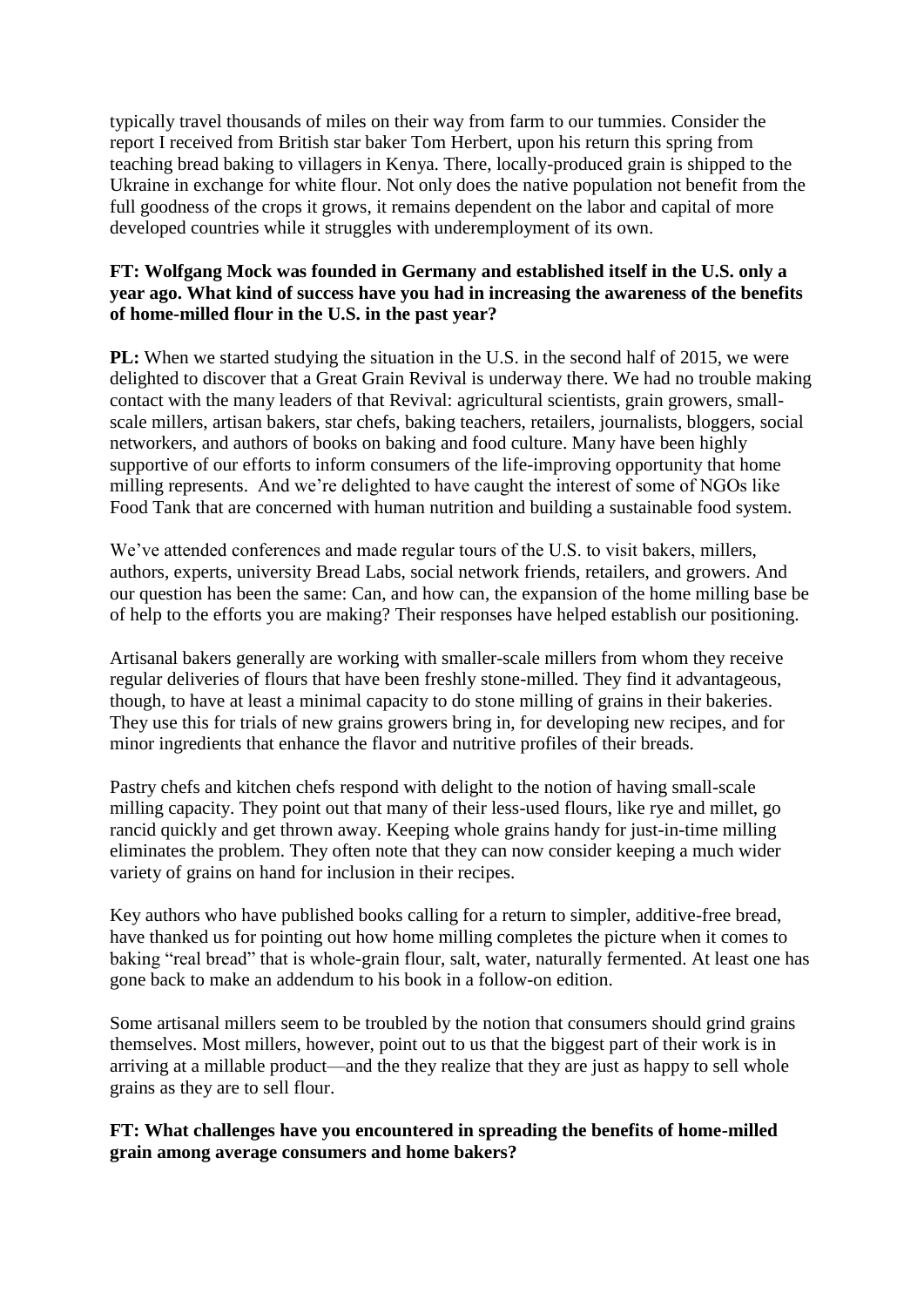typically travel thousands of miles on their way from farm to our tummies. Consider the report I received from British star baker Tom Herbert, upon his return this spring from teaching bread baking to villagers in Kenya. There, locally-produced grain is shipped to the Ukraine in exchange for white flour. Not only does the native population not benefit from the full goodness of the crops it grows, it remains dependent on the labor and capital of more developed countries while it struggles with underemployment of its own.

#### **FT: Wolfgang Mock was founded in Germany and established itself in the U.S. only a year ago. What kind of success have you had in increasing the awareness of the benefits of home-milled flour in the U.S. in the past year?**

**PL:** When we started studying the situation in the U.S. in the second half of 2015, we were delighted to discover that a Great Grain Revival is underway there. We had no trouble making contact with the many leaders of that Revival: agricultural scientists, grain growers, smallscale millers, artisan bakers, star chefs, baking teachers, retailers, journalists, bloggers, social networkers, and authors of books on baking and food culture. Many have been highly supportive of our efforts to inform consumers of the life-improving opportunity that home milling represents. And we're delighted to have caught the interest of some of NGOs like Food Tank that are concerned with human nutrition and building a sustainable food system.

We've attended conferences and made regular tours of the U.S. to visit bakers, millers, authors, experts, university Bread Labs, social network friends, retailers, and growers. And our question has been the same: Can, and how can, the expansion of the home milling base be of help to the efforts you are making? Their responses have helped establish our positioning.

Artisanal bakers generally are working with smaller-scale millers from whom they receive regular deliveries of flours that have been freshly stone-milled. They find it advantageous, though, to have at least a minimal capacity to do stone milling of grains in their bakeries. They use this for trials of new grains growers bring in, for developing new recipes, and for minor ingredients that enhance the flavor and nutritive profiles of their breads.

Pastry chefs and kitchen chefs respond with delight to the notion of having small-scale milling capacity. They point out that many of their less-used flours, like rye and millet, go rancid quickly and get thrown away. Keeping whole grains handy for just-in-time milling eliminates the problem. They often note that they can now consider keeping a much wider variety of grains on hand for inclusion in their recipes.

Key authors who have published books calling for a return to simpler, additive-free bread, have thanked us for pointing out how home milling completes the picture when it comes to baking "real bread" that is whole-grain flour, salt, water, naturally fermented. At least one has gone back to make an addendum to his book in a follow-on edition.

Some artisanal millers seem to be troubled by the notion that consumers should grind grains themselves. Most millers, however, point out to us that the biggest part of their work is in arriving at a millable product—and the they realize that they are just as happy to sell whole grains as they are to sell flour.

#### **FT: What challenges have you encountered in spreading the benefits of home-milled grain among average consumers and home bakers?**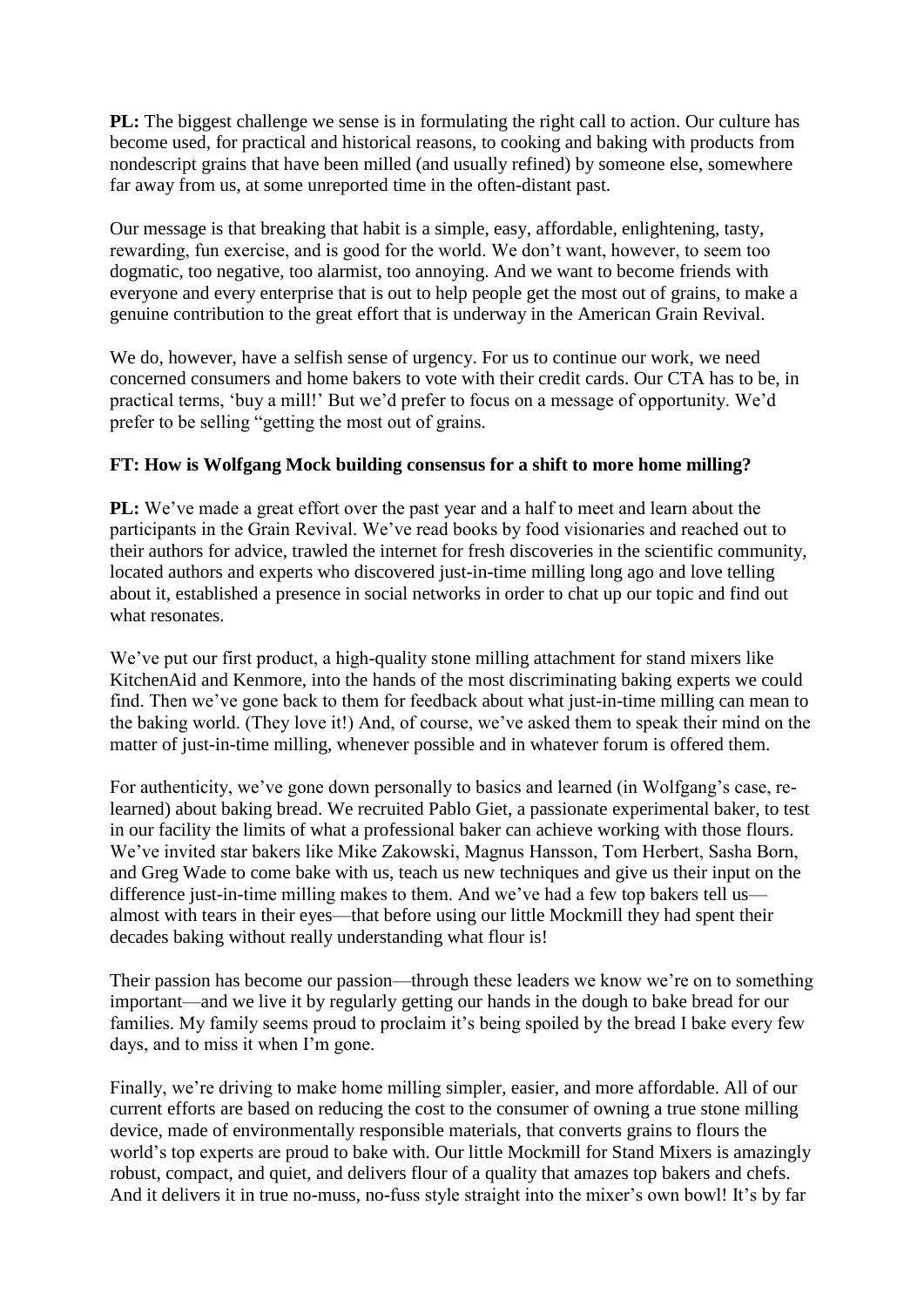**PL:** The biggest challenge we sense is in formulating the right call to action. Our culture has become used, for practical and historical reasons, to cooking and baking with products from nondescript grains that have been milled (and usually refined) by someone else, somewhere far away from us, at some unreported time in the often-distant past.

Our message is that breaking that habit is a simple, easy, affordable, enlightening, tasty, rewarding, fun exercise, and is good for the world. We don't want, however, to seem too dogmatic, too negative, too alarmist, too annoying. And we want to become friends with everyone and every enterprise that is out to help people get the most out of grains, to make a genuine contribution to the great effort that is underway in the American Grain Revival.

We do, however, have a selfish sense of urgency. For us to continue our work, we need concerned consumers and home bakers to vote with their credit cards. Our CTA has to be, in practical terms, 'buy a mill!' But we'd prefer to focus on a message of opportunity. We'd prefer to be selling "getting the most out of grains.

## **FT: How is Wolfgang Mock building consensus for a shift to more home milling?**

**PL:** We've made a great effort over the past year and a half to meet and learn about the participants in the Grain Revival. We've read books by food visionaries and reached out to their authors for advice, trawled the internet for fresh discoveries in the scientific community, located authors and experts who discovered just-in-time milling long ago and love telling about it, established a presence in social networks in order to chat up our topic and find out what resonates.

We've put our first product, a high-quality stone milling attachment for stand mixers like KitchenAid and Kenmore, into the hands of the most discriminating baking experts we could find. Then we've gone back to them for feedback about what just-in-time milling can mean to the baking world. (They love it!) And, of course, we've asked them to speak their mind on the matter of just-in-time milling, whenever possible and in whatever forum is offered them.

For authenticity, we've gone down personally to basics and learned (in Wolfgang's case, relearned) about baking bread. We recruited Pablo Giet, a passionate experimental baker, to test in our facility the limits of what a professional baker can achieve working with those flours. We've invited star bakers like Mike Zakowski, Magnus Hansson, Tom Herbert, Sasha Born, and Greg Wade to come bake with us, teach us new techniques and give us their input on the difference just-in-time milling makes to them. And we've had a few top bakers tell us almost with tears in their eyes—that before using our little Mockmill they had spent their decades baking without really understanding what flour is!

Their passion has become our passion—through these leaders we know we're on to something important—and we live it by regularly getting our hands in the dough to bake bread for our families. My family seems proud to proclaim it's being spoiled by the bread I bake every few days, and to miss it when I'm gone.

Finally, we're driving to make home milling simpler, easier, and more affordable. All of our current efforts are based on reducing the cost to the consumer of owning a true stone milling device, made of environmentally responsible materials, that converts grains to flours the world's top experts are proud to bake with. Our little Mockmill for Stand Mixers is amazingly robust, compact, and quiet, and delivers flour of a quality that amazes top bakers and chefs. And it delivers it in true no-muss, no-fuss style straight into the mixer's own bowl! It's by far